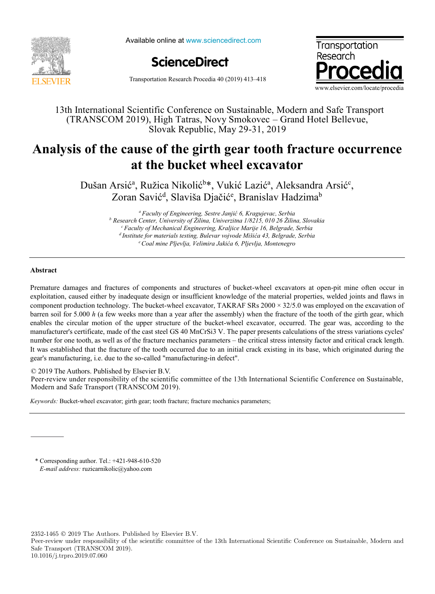

Available online at www.sciencedirect.com





Transportation Research Procedia 40 (2019) 413–418

13th International Scientific Conference on Sustainable, Modern and Safe Transport (TRANSCOM 2019), High Tatras, Novy Smokovec – Grand Hotel Bellevue, Slovak Republic, May 29-31, 2019

# **Analysis of the cause of the girth gear tooth fracture occurrence**  ruse of the girth gear tooth if a **Analysis of the cause of the girth gear tooth fracture occurrence at the bucket wheel excavator**

Dušan Arsić<sup>a</sup> , Ružica Nikolić<sup>b</sup> \*, Vukić Lazić<sup>a</sup> , Aleksandra Arsić<sup>c</sup> , Dušan Arsić<sup>a</sup>, Ružica Nikolić<sup>b\*</sup>, Vukić Lazić<sup>a</sup>, Aleksandra Arsić<sup>c</sup>, *a Faculty of Engineering, Sestre Janjić 6, Kragujevac, Serbia* Zoran Savić<sup>d</sup>, Slaviša Djačić<sup>e</sup>, Branislav Hadzima<sup>b</sup>

> *<sup>b</sup> Research Center, University of Žilina, Univerzitna 1/8215, 010 26 Žilina, Slovakia a Faculty of Engineering, Sestre Janjić 6, Kragujevac, Serbia c Faculty of Mechanical Engineering, Kraljice Marije 16, Belgrade, Serbia <sup>b</sup> Research Center, University of Žilina, Univerzitna 1/8215, 010 26 Žilina, Slovakia d Institute for materials testing, Bulevar vojvode Mišića 43, Belgrade, Serbia c Faculty of Mechanical Engineering, Kraljice Marije 16, Belgrade, Serbia <sup>e</sup>Coal mine Pljevlja, Velimira Jakića 6, Pljevlja, Montenegro d Institute for materials testing, Bulevar vojvode Mišića 43, Belgrade, Serbia <sup>e</sup>Coal mine Pljevlja, Velimira Jakića 6, Pljevlja, Montenegro*

### **Abstract**

Premature damages and fractures of components and structures of bucket-wheel excavators at open-pit mine often occur in exploitation, caused either by inadequate design or insufficient knowledge of the material properties, welded joints and flaws in component production technology. The bucket-wheel excavator, TAKRAF SRs 2000 × 32/5.0 was employed on the excavation of barren soil for  $5.000 h$  (a few weeks more than a year after the assembly) when the fracture of the tooth of the girth gear, which enables the circular motion of the upper structure of the bucket-wheel excavator, occurred. The gear was, according to the manufacturer's certificate, made of the cast steel GS 40 MnCrSi3 V. The paper presents calculations of the stress variations cycles number for one tooth, as well as of the fracture mechanics parameters - the critical stress intensity factor and critical crack length. It was established that the fracture of the tooth occurred due to an initial crack existing in its base, which originated during the gear's manufacturing, i.e. due to the so-called "manufacturing-in defect".

© 2019 The Authors. Published by Elsevier B.V. © 2019 The Authors. Published by Elsevier B.V.

Peer-review under responsibility of the scientific committee of the 13th International Scientific Conference on Sustainable, Modern and Safe Transport (TRANSCOM 2019). Modern and Safe Transport (TRANSCOM 2019). Peer-review under responsibility of the scientific committee of the 13th International Scientific Conference on Sustainable,  $\mathbf{I}$  Safe Transport (TRANSCOM 2019).

*Keywords:* Bucket-wheel excavator; girth gear; tooth fracture; fracture mechanics parameters; *Keywords:* Bucket-wheel excavator; girth gear; tooth fracture; fracture mechanics parameters;

\* Corresponding author. Tel.: +421-948-610-520 E-mail address: ruzicarnikolic@yahoo.com

2352-1465 2019 The Authors. Published by Elsevier B.V.

Peer-review under responsibility of the scientific committee of the 13th International Scientific Conference on Sustainable, Modern and Safe Transport (TRANSCOM 2019). 10.1016/j.trpro.2019.07.060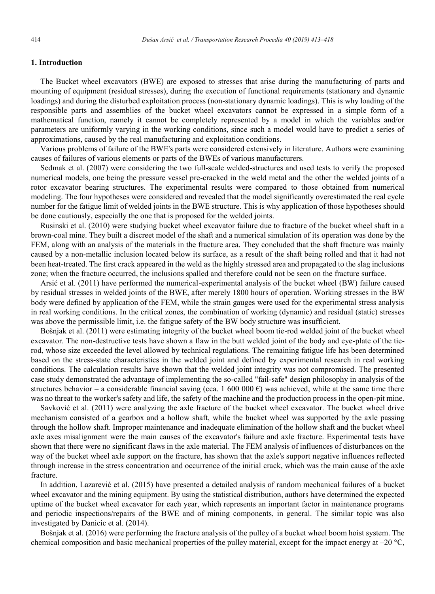## **1. Introduction**

The Bucket wheel excavators (BWE) are exposed to stresses that arise during the manufacturing of parts and mounting of equipment (residual stresses), during the execution of functional requirements (stationary and dynamic loadings) and during the disturbed exploitation process (non-stationary dynamic loadings). This is why loading of the responsible parts and assemblies of the bucket wheel excavators cannot be expressed in a simple form of a mathematical function, namely it cannot be completely represented by a model in which the variables and/or parameters are uniformly varying in the working conditions, since such a model would have to predict a series of approximations, caused by the real manufacturing and exploitation conditions.

Various problems of failure of the BWE's parts were considered extensively in literature. Authors were examining causes of failures of various elements or parts of the BWEs of various manufacturers.

Sedmak et al. (2007) were considering the two full-scale welded-structures and used tests to verify the proposed numerical models, one being the pressure vessel pre-cracked in the weld metal and the other the welded joints of a rotor excavator bearing structures. The experimental results were compared to those obtained from numerical modeling. The four hypotheses were considered and revealed that the model significantly overestimated the real cycle number for the fatigue limit of welded joints in the BWE structure. This is why application of those hypotheses should be done cautiously, especially the one that is proposed for the welded joints.

Rusinski et al. (2010) were studying bucket wheel excavator failure due to fracture of the bucket wheel shaft in a brown-coal mine. They built a discreet model of the shaft and a numerical simulation of its operation was done by the FEM, along with an analysis of the materials in the fracture area. They concluded that the shaft fracture was mainly caused by a non-metallic inclusion located below its surface, as a result of the shaft being rolled and that it had not been heat-treated. The first crack appeared in the weld as the highly stressed area and propagated to the slag inclusions zone; when the fracture occurred, the inclusions spalled and therefore could not be seen on the fracture surface.

Arsić et al. (2011) have performed the numerical-experimental analysis of the bucket wheel (BW) failure caused by residual stresses in welded joints of the BWE, after merely 1800 hours of operation. Working stresses in the BW body were defined by application of the FEM, while the strain gauges were used for the experimental stress analysis in real working conditions. In the critical zones, the combination of working (dynamic) and residual (static) stresses was above the permissible limit, i.e. the fatigue safety of the BW body structure was insufficient.

Bošnjak et al. (2011) were estimating integrity of the bucket wheel boom tie-rod welded joint of the bucket wheel excavator. The non-destructive tests have shown a flaw in the butt welded joint of the body and eye-plate of the tierod, whose size exceeded the level allowed by technical regulations. The remaining fatigue life has been determined based on the stress-state characteristics in the welded joint and defined by experimental research in real working conditions. The calculation results have shown that the welded joint integrity was not compromised. The presented case study demonstrated the advantage of implementing the so-called "fail-safe" design philosophy in analysis of the structures behavior – a considerable financial saving (cca. 1 600 000  $\epsilon$ ) was achieved, while at the same time there was no threat to the worker's safety and life, the safety of the machine and the production process in the open-pit mine.

Savković et al. (2011) were analyzing the axle fracture of the bucket wheel excavator. The bucket wheel drive mechanism consisted of a gearbox and a hollow shaft, while the bucket wheel was supported by the axle passing through the hollow shaft. Improper maintenance and inadequate elimination of the hollow shaft and the bucket wheel axle axes misalignment were the main causes of the excavator's failure and axle fracture. Experimental tests have shown that there were no significant flaws in the axle material. The FEM analysis of influences of disturbances on the way of the bucket wheel axle support on the fracture, has shown that the axle's support negative influences reflected through increase in the stress concentration and occurrence of the initial crack, which was the main cause of the axle fracture.

In addition, Lazarević et al. (2015) have presented a detailed analysis of random mechanical failures of a bucket wheel excavator and the mining equipment. By using the statistical distribution, authors have determined the expected uptime of the bucket wheel excavator for each year, which represents an important factor in maintenance programs and periodic inspections/repairs of the BWE and of mining components, in general. The similar topic was also investigated by Danicic et al. (2014).

Bošnjak et al. (2016) were performing the fracture analysis of the pulley of a bucket wheel boom hoist system. The chemical composition and basic mechanical properties of the pulley material, except for the impact energy at  $-20^{\circ}$ C,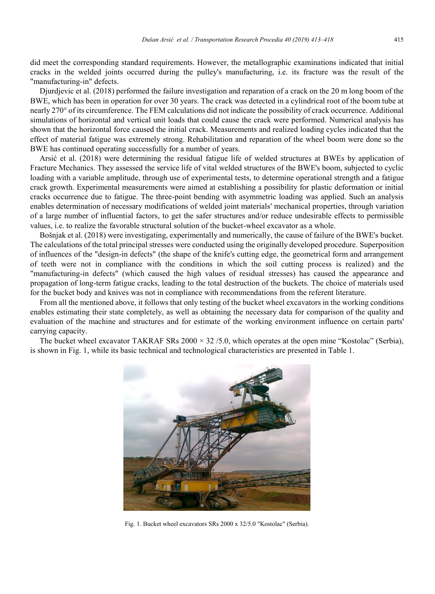did meet the corresponding standard requirements. However, the metallographic examinations indicated that initial cracks in the welded joints occurred during the pulley's manufacturing, i.e. its fracture was the result of the "manufacturing-in" defects.

Djurdjevic et al. (2018) performed the failure investigation and reparation of a crack on the 20 m long boom of the BWE, which has been in operation for over 30 years. The crack was detected in a cylindrical root of the boom tube at nearly 270° of its circumference. The FEM calculations did not indicate the possibility of crack occurrence. Additional simulations of horizontal and vertical unit loads that could cause the crack were performed. Numerical analysis has shown that the horizontal force caused the initial crack. Measurements and realized loading cycles indicated that the effect of material fatigue was extremely strong. Rehabilitation and reparation of the wheel boom were done so the BWE has continued operating successfully for a number of years.

Arsić et al. (2018) were determining the residual fatigue life of welded structures at BWEs by application of Fracture Mechanics. They assessed the service life of vital welded structures of the BWE's boom, subjected to cyclic loading with a variable amplitude, through use of experimental tests, to determine operational strength and a fatigue crack growth. Experimental measurements were aimed at establishing a possibility for plastic deformation or initial cracks occurrence due to fatigue. The three-point bending with asymmetric loading was applied. Such an analysis enables determination of necessary modifications of welded joint materials' mechanical properties, through variation of a large number of influential factors, to get the safer structures and/or reduce undesirable effects to permissible values, i.e. to realize the favorable structural solution of the bucket-wheel excavator as a whole.

Bošnjak et al. (2018) were investigating, experimentally and numerically, the cause of failure of the BWE's bucket. The calculations of the total principal stresses were conducted using the originally developed procedure. Superposition of influences of the "design-in defects" (the shape of the knife's cutting edge, the geometrical form and arrangement of teeth were not in compliance with the conditions in which the soil cutting process is realized) and the "manufacturing-in defects" (which caused the high values of residual stresses) has caused the appearance and propagation of long-term fatigue cracks, leading to the total destruction of the buckets. The choice of materials used for the bucket body and knives was not in compliance with recommendations from the referent literature.

From all the mentioned above, it follows that only testing of the bucket wheel excavators in the working conditions enables estimating their state completely, as well as obtaining the necessary data for comparison of the quality and evaluation of the machine and structures and for estimate of the working environment influence on certain parts' carrying capacity.

The bucket wheel excavator TAKRAF SRs  $2000 \times 32 / 5.0$ , which operates at the open mine "Kostolac" (Serbia), is shown in Fig. 1, while its basic technical and technological characteristics are presented in Table 1.



Fig. 1. Bucket wheel excavators SRs 2000 x 32/5.0 "Kostolac" (Serbia).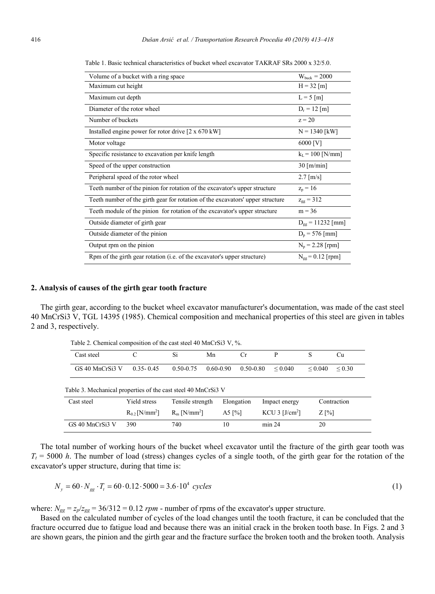| Volume of a bucket with a ring space                                           | $W_{\text{huck}} = 2000$ |
|--------------------------------------------------------------------------------|--------------------------|
| Maximum cut height                                                             | $H = 32$ [m]             |
| Maximum cut depth                                                              | $L = 5$ [m]              |
| Diameter of the rotor wheel                                                    | $D_r = 12$ [m]           |
| Number of buckets                                                              | $z = 20$                 |
| Installed engine power for rotor drive $[2 \times 670 \text{ kW}]$             | $N = 1340$ [kW]          |
| Motor voltage                                                                  | 6000 [V]                 |
| Specific resistance to excavation per knife length                             | $k_L$ = 100 [N/mm]       |
| Speed of the upper construction                                                | $30 \,[\text{m/min}]$    |
| Peripheral speed of the rotor wheel                                            | $2.7$ [m/s]              |
| Teeth number of the pinion for rotation of the excavator's upper structure     | $z_n = 16$               |
| Teeth number of the girth gear for rotation of the excavators' upper structure | $z_{gg}$ = 312           |
| Teeth module of the pinion for rotation of the excavator's upper structure     | $m = 36$                 |
| Outside diameter of girth gear                                                 | $D_{gg} = 11232$ [mm]    |
| Outside diameter of the pinion                                                 | $D_p = 576$ [mm]         |
| Output rpm on the pinion                                                       | $N_p = 2.28$ [rpm]       |
| Rpm of the girth gear rotation (i.e. of the excavator's upper structure)       | $N_{gg}$ = 0.12 [rpm]    |

Table 1. Basic technical characteristics of bucket wheel excavator TAKRAF SRs 2000 x 32/5.0.

#### **2. Analysis of causes of the girth gear tooth fracture**

The girth gear, according to the bucket wheel excavator manufacturer's documentation, was made of the cast steel 40 MnCrSi3 V, TGL 14395 (1985). Chemical composition and mechanical properties of this steel are given in tables 2 and 3, respectively.

|  |  | Table 2. Chemical composition of the cast steel 40 MnCrSi3 V, %. |  |  |  |  |
|--|--|------------------------------------------------------------------|--|--|--|--|
|--|--|------------------------------------------------------------------|--|--|--|--|

| Cast steel                                                    | C                              | Si                          | Mn            | Cr            | P                            | S            | Cu          |
|---------------------------------------------------------------|--------------------------------|-----------------------------|---------------|---------------|------------------------------|--------------|-------------|
| GS 40 MnCrSi3 V                                               | $0.35 - 0.45$                  | $0.50 - 0.75$               | $0.60 - 0.90$ | $0.50 - 0.80$ | $\leq 0.040$                 | ${}_{0.040}$ | ${}_{0.30}$ |
|                                                               |                                |                             |               |               |                              |              |             |
| Table 3. Mechanical properties of the cast steel 40 MnCrSi3 V |                                |                             |               |               |                              |              |             |
| Cast steel                                                    | Yield stress                   | Tensile strength            |               | Elongation    | Impact energy                |              | Contraction |
|                                                               | $R_{0.2}$ [N/mm <sup>2</sup> ] | $R_m \left[ N/mm^2 \right]$ | A5 $[%]$      |               | $KCU$ 3 [J/cm <sup>2</sup> ] | $Z[\%]$      |             |

The total number of working hours of the bucket wheel excavator until the fracture of the girth gear tooth was  $T<sub>t</sub> = 5000 h$ . The number of load (stress) changes cycles of a single tooth, of the girth gear for the rotation of the excavator's upper structure, during that time is:

$$
N_y = 60 \cdot N_{gg} \cdot T_t = 60 \cdot 0.12 \cdot 5000 = 3.6 \cdot 10^4 \text{ cycles}
$$
 (1)

where:  $N_{gg} = z_p/z_{gg} = 36/312 = 0.12$  *rpm* - number of rpms of the excavator's upper structure.

Based on the calculated number of cycles of the load changes until the tooth fracture, it can be concluded that the fracture occurred due to fatigue load and because there was an initial crack in the broken tooth base. In Figs. 2 and 3 are shown gears, the pinion and the girth gear and the fracture surface the broken tooth and the broken tooth. Analysis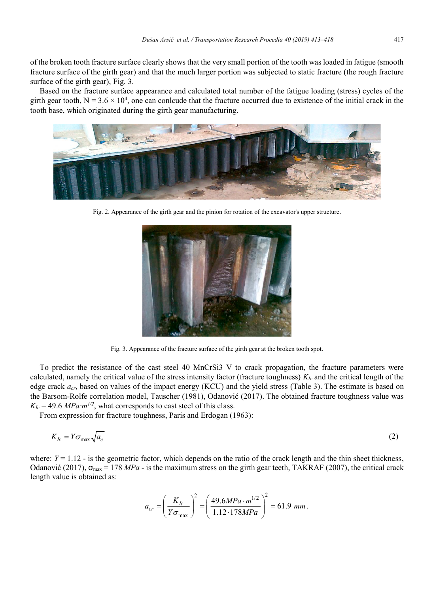of the broken tooth fracture surface clearly shows that the very small portion of the tooth was loaded in fatigue (smooth fracture surface of the girth gear) and that the much larger portion was subjected to static fracture (the rough fracture surface of the girth gear), Fig. 3.

Based on the fracture surface appearance and calculated total number of the fatigue loading (stress) cycles of the girth gear tooth,  $N = 3.6 \times 10^4$ , one can conlcude that the fracture occurred due to existence of the initial crack in the tooth base, which originated during the girth gear manufacturing.



Fig. 2. Appearance of the girth gear and the pinion for rotation of the excavator's upper structure.



Fig. 3. Appearance of the fracture surface of the girth gear at the broken tooth spot.

To predict the resistance of the cast steel 40 MnCrSi3 V to crack propagation, the fracture parameters were calculated, namely the critical value of the stress intensity factor (fracture toughness)  $K_{Ic}$  and the critical length of the edge crack *acr*, based on values of the impact energy (KCU) and the yield stress (Table 3). The estimate is based on the Barsom-Rolfe correlation model, Tauscher (1981), Odanović (2017). The obtained fracture toughness value was  $K_{Ic} = 49.6 MPa·m^{1/2}$ , what corresponds to cast steel of this class.

From expression for fracture toughness, Paris and Erdogan (1963):

$$
K_{lc} = Y \sigma_{\text{max}} \sqrt{a_c} \tag{2}
$$

where:  $Y = 1.12$  - is the geometric factor, which depends on the ratio of the crack length and the thin sheet thickness, Odanović (2017),  $\sigma_{\text{max}} = 178 \text{ MPa}$  - is the maximum stress on the girth gear teeth, TAKRAF (2007), the critical crack length value is obtained as:

$$
a_{cr} = \left(\frac{K_{Ic}}{Y\sigma_{\text{max}}}\right)^2 = \left(\frac{49.6MPa \cdot m^{1/2}}{1.12 \cdot 178MPa}\right)^2 = 61.9 \text{ mm}.
$$